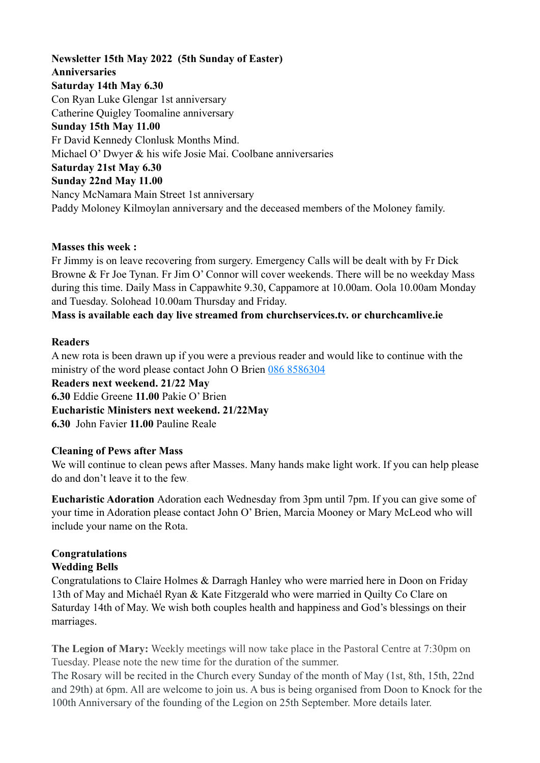# **Newsletter 15th May 2022 (5th Sunday of Easter) Anniversaries Saturday 14th May 6.30**  Con Ryan Luke Glengar 1st anniversary Catherine Quigley Toomaline anniversary **Sunday 15th May 11.00**  Fr David Kennedy Clonlusk Months Mind. Michael O' Dwyer & his wife Josie Mai. Coolbane anniversaries **Saturday 21st May 6.30 Sunday 22nd May 11.00**  Nancy McNamara Main Street 1st anniversary Paddy Moloney Kilmoylan anniversary and the deceased members of the Moloney family.

### **Masses this week :**

Fr Jimmy is on leave recovering from surgery. Emergency Calls will be dealt with by Fr Dick Browne & Fr Joe Tynan. Fr Jim O' Connor will cover weekends. There will be no weekday Mass during this time. Daily Mass in Cappawhite 9.30, Cappamore at 10.00am. Oola 10.00am Monday and Tuesday. Solohead 10.00am Thursday and Friday.

# **Mass is available each day live streamed from churchservices.tv. or [churchcamlive.ie](http://churchcamlive.ie)**

### **Readers**

A new rota is been drawn up if you were a previous reader and would like to continue with the ministry of the word please contact John O Brien 086 8586304 **Readers next weekend. 21/22 May 6.30** Eddie Greene **11.00** Pakie O' Brien **Eucharistic Ministers next weekend. 21/22May 6.30** John Favier **11.00** Pauline Reale

### **Cleaning of Pews after Mass**

We will continue to clean pews after Masses. Many hands make light work. If you can help please do and don't leave it to the few.

**Eucharistic Adoration** Adoration each Wednesday from 3pm until 7pm. If you can give some of your time in Adoration please contact John O' Brien, Marcia Mooney or Mary McLeod who will include your name on the Rota.

# **Congratulations**

# **Wedding Bells**

Congratulations to Claire Holmes & Darragh Hanley who were married here in Doon on Friday 13th of May and Michaél Ryan & Kate Fitzgerald who were married in Quilty Co Clare on Saturday 14th of May. We wish both couples health and happiness and God's blessings on their marriages.

**The Legion of Mary:** Weekly meetings will now take place in the Pastoral Centre at 7:30pm on Tuesday. Please note the new time for the duration of the summer.

The Rosary will be recited in the Church every Sunday of the month of May (1st, 8th, 15th, 22nd and 29th) at 6pm. All are welcome to join us. A bus is being organised from Doon to Knock for the 100th Anniversary of the founding of the Legion on 25th September. More details later.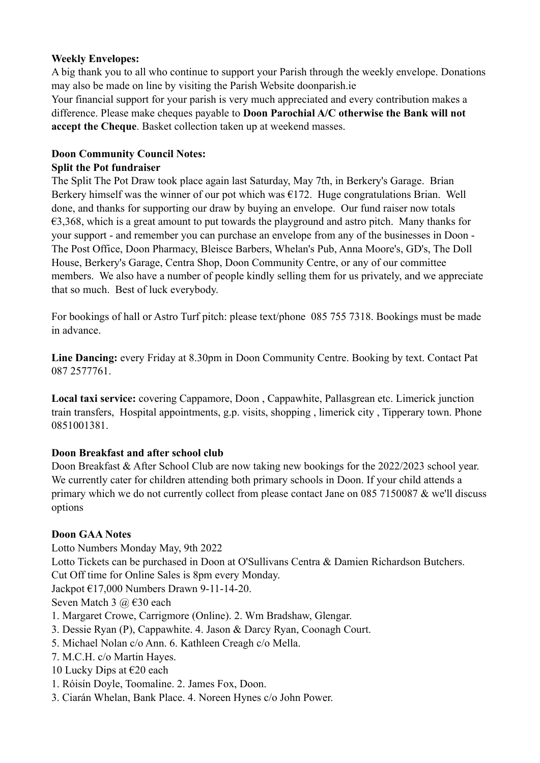### **Weekly Envelopes:**

A big thank you to all who continue to support your Parish through the weekly envelope. Donations may also be made on line by visiting the Parish Website [doonparish.ie](http://doonparish.ie) 

Your financial support for your parish is very much appreciated and every contribution makes a difference. Please make cheques payable to **Doon Parochial A/C otherwise the Bank will not accept the Cheque**. Basket collection taken up at weekend masses.

### **Doon Community Council Notes:**

### **Split the Pot fundraiser**

The Split The Pot Draw took place again last Saturday, May 7th, in Berkery's Garage. Brian Berkery himself was the winner of our pot which was  $E172$ . Huge congratulations Brian. Well done, and thanks for supporting our draw by buying an envelope. Our fund raiser now totals €3,368, which is a great amount to put towards the playground and astro pitch. Many thanks for your support - and remember you can purchase an envelope from any of the businesses in Doon - The Post Office, Doon Pharmacy, Bleisce Barbers, Whelan's Pub, Anna Moore's, GD's, The Doll House, Berkery's Garage, Centra Shop, Doon Community Centre, or any of our committee members. We also have a number of people kindly selling them for us privately, and we appreciate that so much. Best of luck everybody.

For bookings of hall or Astro Turf pitch: please text/phone 085 755 7318. Bookings must be made in advance.

**Line Dancing:** every Friday at 8.30pm in Doon Community Centre. Booking by text. Contact Pat 087 2577761.

**Local taxi service:** covering Cappamore, Doon , Cappawhite, Pallasgrean etc. Limerick junction train transfers, Hospital appointments, g.p. visits, shopping , limerick city , Tipperary town. Phone 0851001381.

# **Doon Breakfast and after school club**

Doon Breakfast & After School Club are now taking new bookings for the 2022/2023 school year. We currently cater for children attending both primary schools in Doon. If your child attends a primary which we do not currently collect from please contact Jane on 085 7150087 & we'll discuss options

# **Doon GAA Notes**

Lotto Numbers Monday May, 9th 2022

Lotto Tickets can be purchased in Doon at O'Sullivans Centra & Damien Richardson Butchers.

Cut Off time for Online Sales is 8pm every Monday.

Jackpot €17,000 Numbers Drawn 9-11-14-20.

Seven Match 3 @ €30 each

- 1. Margaret Crowe, Carrigmore (Online). 2. Wm Bradshaw, Glengar.
- 3. Dessie Ryan (P), Cappawhite. 4. Jason & Darcy Ryan, Coonagh Court.
- 5. Michael Nolan c/o Ann. 6. Kathleen Creagh c/o Mella.
- 7. M.C.H. c/o Martin Hayes.
- 10 Lucky Dips at  $\epsilon$ 20 each
- 1. Róisín Doyle, Toomaline. 2. James Fox, Doon.
- 3. Ciarán Whelan, Bank Place. 4. Noreen Hynes c/o John Power.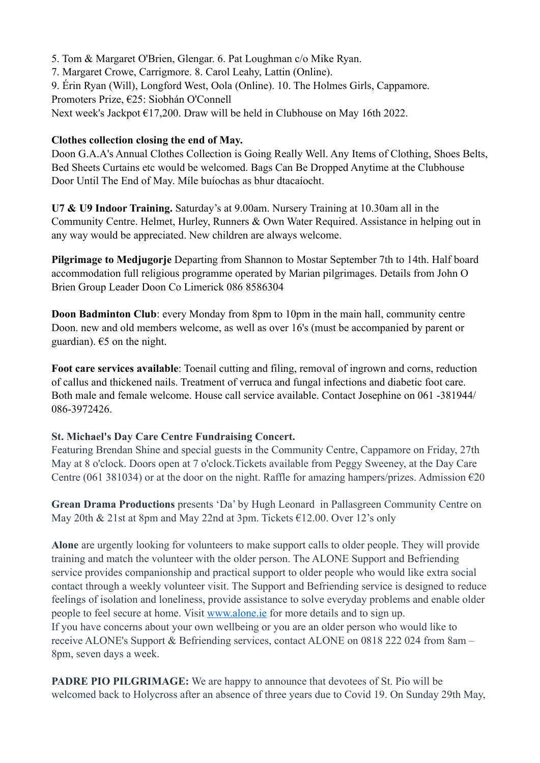5. Tom & Margaret O'Brien, Glengar. 6. Pat Loughman c/o Mike Ryan.

7. Margaret Crowe, Carrigmore. 8. Carol Leahy, Lattin (Online).

9. Érin Ryan (Will), Longford West, Oola (Online). 10. The Holmes Girls, Cappamore.

Promoters Prize, €25: Siobhán O'Connell

Next week's Jackpot €17,200. Draw will be held in Clubhouse on May 16th 2022.

### **Clothes collection closing the end of May.**

Doon G.A.A's Annual Clothes Collection is Going Really Well. Any Items of Clothing, Shoes Belts, Bed Sheets Curtains etc would be welcomed. Bags Can Be Dropped Anytime at the Clubhouse Door Until The End of May. Míle buíochas as bhur dtacaíocht.

**U7 & U9 Indoor Training.** Saturday's at 9.00am. Nursery Training at 10.30am all in the Community Centre. Helmet, Hurley, Runners & Own Water Required. Assistance in helping out in any way would be appreciated. New children are always welcome.

**Pilgrimage to Medjugorje** Departing from Shannon to Mostar September 7th to 14th. Half board accommodation full religious programme operated by Marian pilgrimages. Details from John O Brien Group Leader Doon Co Limerick 086 8586304

**Doon Badminton Club**: every Monday from 8pm to 10pm in the main hall, community centre Doon. new and old members welcome, as well as over 16's (must be accompanied by parent or guardian).  $65$  on the night.

**Foot care services available**: Toenail cutting and filing, removal of ingrown and corns, reduction of callus and thickened nails. Treatment of verruca and fungal infections and diabetic foot care. Both male and female welcome. House call service available. Contact Josephine on 061 -381944/ 086-3972426.

### **St. Michael's Day Care Centre Fundraising Concert.**

Featuring Brendan Shine and special guests in the Community Centre, Cappamore on Friday, 27th May at 8 o'clock. Doors open at 7 o'clock.Tickets available from Peggy Sweeney, at the Day Care Centre (061 381034) or at the door on the night. Raffle for amazing hampers/prizes. Admission  $\epsilon$ 20

**Grean Drama Productions** presents 'Da' by Hugh Leonard in Pallasgreen Community Centre on May 20th & 21st at 8pm and May 22nd at 3pm. Tickets €12.00. Over 12's only

**Alone** are urgently looking for volunteers to make support calls to older people. They will provide training and match the volunteer with the older person. The ALONE Support and Befriending service provides companionship and practical support to older people who would like extra social contact through a weekly volunteer visit. The Support and Befriending service is designed to reduce feelings of isolation and loneliness, provide assistance to solve everyday problems and enable older people to feel secure at home. Visit [www.alone.ie](http://www.alone.ie/) for more details and to sign up. If you have concerns about your own wellbeing or you are an older person who would like to receive ALONE's Support & Befriending services, contact ALONE on 0818 222 024 from 8am – 8pm, seven days a week.

**PADRE PIO PILGRIMAGE:** We are happy to announce that devotees of St. Pio will be welcomed back to Holycross after an absence of three years due to Covid 19. On Sunday 29th May,